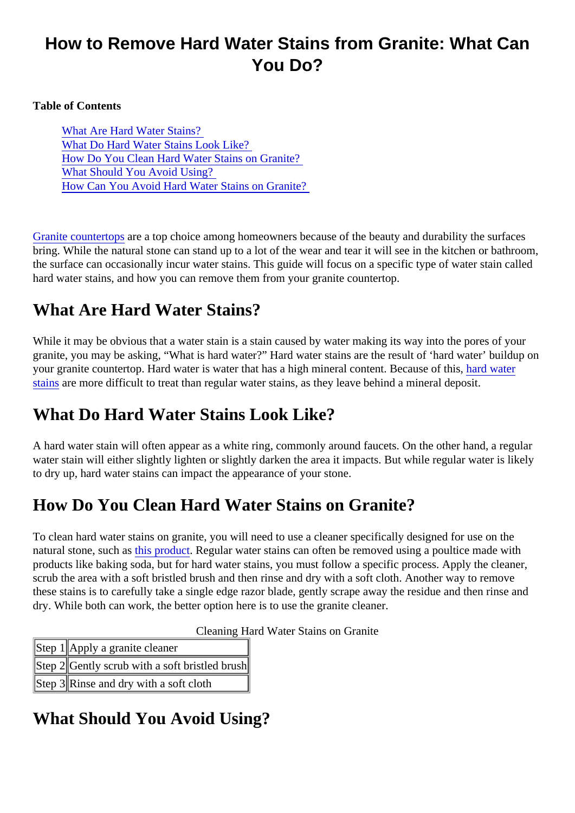# How to Remove Hard Water Stains from Granite: What Can You Do?

Table of Contents

What Are Hard Water Stains? What Do Hard Water Stains Look Like? How Do You Clean Hard Water Stains on Granite? What Should You Avoid Using? [How Can You Avoid Hard Water Stains on Grani](#page-1-0)te?

[Granite countertop](https://marble.com/granite-countertops)area top choice among homeowners because of the beauty and durability the surfaces bring. While the natural stone can stand up to a lot of the wear and tear it will see in the kitchen or bathroo the surface can occasionally incur water stains. This quide will focus on a specific type of water stain calle hard water stains, and how you can remove them from your granite countertop.

# What Are Hard Water Stains?

While it may be obvious that a water stain is a stain caused by water making its way into the pores of your granite, you may be asking, "What is hard water?" Hard water stains are the result of 'hard water' buildup on your granite countertop. Hard water is water that has a high mineral content. Because and water [stains](https://www.bobvila.com/articles/how-to-remove-hard-water-stains/) are more difficult to treat than regular water stains, as they leave behind a mineral deposit.

# What Do Hard Water Stains Look Like?

A hard water stain will often appear as a white ring, commonly around faucets. On the other hand, a regulared water stain will either slightly lighten or slightly darken the area it impacts. But while regular water is likely to dry up, hard water stains can impact the appearance of your stone.

# How Do You Clean Hard Water Stains on Granite?

To clean hard water stains on granite, you will need to use a cleaner specifically designed for use on the natural stone, such as product Regular water stains can often be removed using a poultice made with products like baking soda, but for hard water stains, you must follow a specific process. Apply the cleaner, scrub the area with a soft bristled brush and then rinse and dry with a soft cloth. Another way to remove these stains is to carefully take a single edge razor blade, gently scrape away the residue and then rinse and dry. While both can work, the better option here is to use the granite cleaner.

Cleaning Hard Water Stains on Granite

Step 1Apply a granite cleaner Step 4Gently scrub with a soft bristled brush Step 3Rinse and dry with a soft cloth

What Should You Avoid Using?